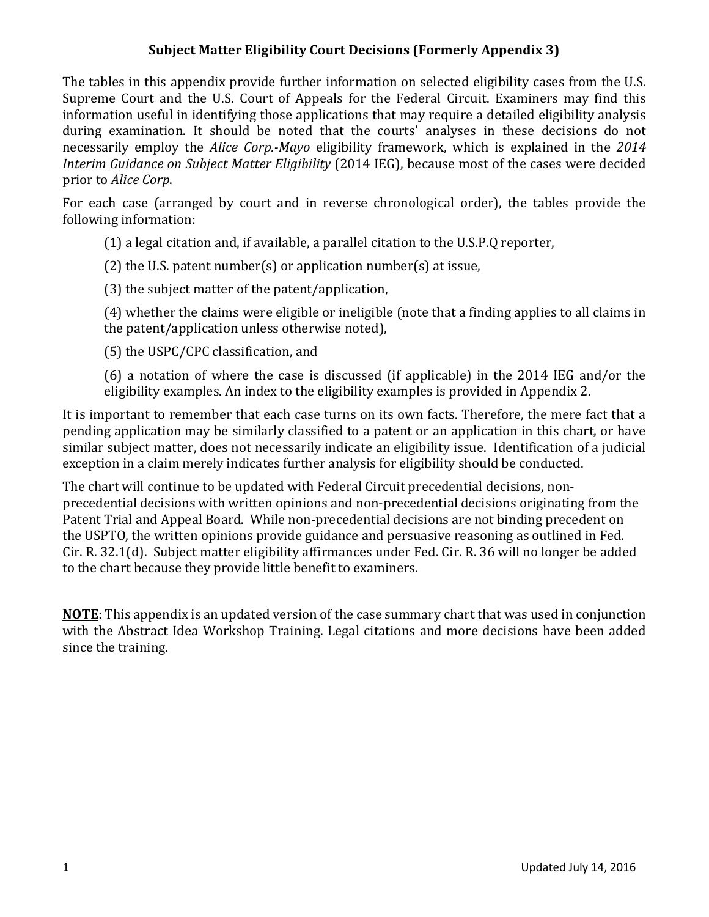The tables in this appendix provide further information on selected eligibility cases from the U.S. Supreme Court and the U.S. Court of Appeals for the Federal Circuit. Examiners may find this information useful in identifying those applications that may require a detailed eligibility analysis during examination. It should be noted that the courts' analyses in these decisions do not necessarily employ the *Alice Corp.-Mayo* eligibility framework, which is explained in the *2014 Interim Guidance on Subject Matter Eligibility* (2014 IEG), because most of the cases were decided prior to *Alice Corp*.

For each case (arranged by court and in reverse chronological order), the tables provide the following information:

(1) a legal citation and, if available, a parallel citation to the U.S.P.Q reporter,

(2) the U.S. patent number(s) or application number(s) at issue,

(3) the subject matter of the patent/application,

(4) whether the claims were eligible or ineligible (note that a finding applies to all claims in the patent/application unless otherwise noted),

(5) the USPC/CPC classification, and

(6) a notation of where the case is discussed (if applicable) in the 2014 IEG and/or the eligibility examples. An index to the eligibility examples is provided in Appendix 2.

It is important to remember that each case turns on its own facts. Therefore, the mere fact that a pending application may be similarly classified to a patent or an application in this chart, or have similar subject matter, does not necessarily indicate an eligibility issue. Identification of a judicial exception in a claim merely indicates further analysis for eligibility should be conducted.

The chart will continue to be updated with Federal Circuit precedential decisions, nonprecedential decisions with written opinions and non-precedential decisions originating from the Patent Trial and Appeal Board. While non-precedential decisions are not binding precedent on the USPTO, the written opinions provide guidance and persuasive reasoning as outlined in Fed. Cir. R. 32.1(d). Subject matter eligibility affirmances under Fed. Cir. R. 36 will no longer be added to the chart because they provide little benefit to examiners.

**NOTE**: This appendix is an updated version of the case summary chart that was used in conjunction with the Abstract Idea Workshop Training. Legal citations and more decisions have been added since the training.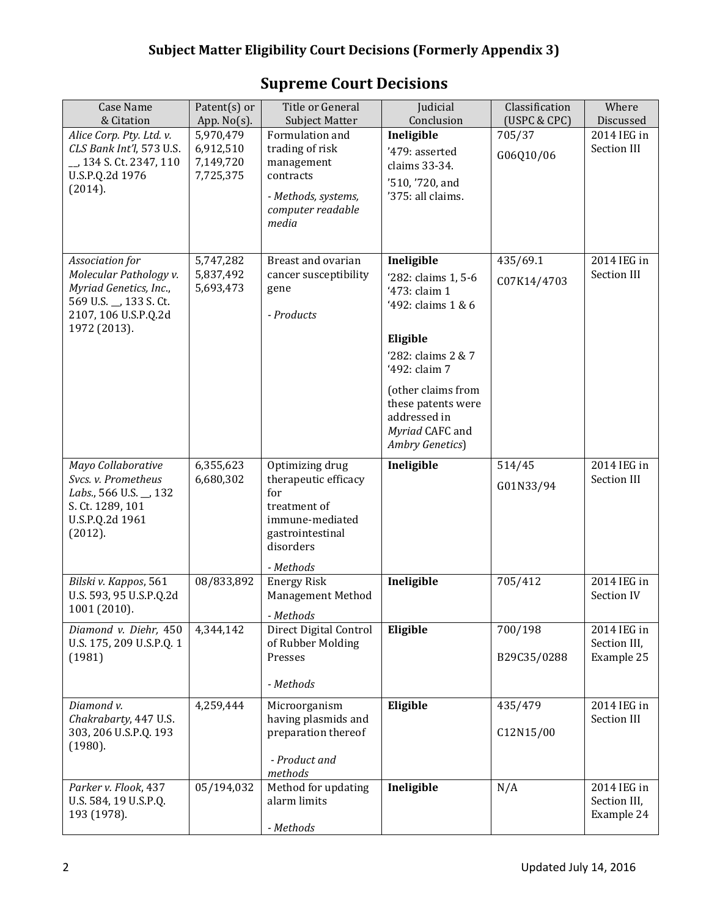| <b>Case Name</b><br>& Citation                                                                                                        | Patent(s) or<br>App. $No(s)$ .                   | Title or General<br><b>Subject Matter</b>                                                                                       | Judicial<br>Conclusion                                                                                                                                                                                                        | Classification<br>(USPC & CPC) | Where<br>Discussed                        |
|---------------------------------------------------------------------------------------------------------------------------------------|--------------------------------------------------|---------------------------------------------------------------------------------------------------------------------------------|-------------------------------------------------------------------------------------------------------------------------------------------------------------------------------------------------------------------------------|--------------------------------|-------------------------------------------|
| Alice Corp. Pty. Ltd. v.<br>CLS Bank Int'l, 573 U.S.<br>_, 134 S. Ct. 2347, 110<br>U.S.P.Q.2d 1976<br>(2014).                         | 5,970,479<br>6,912,510<br>7,149,720<br>7,725,375 | Formulation and<br>trading of risk<br>management<br>contracts<br>- Methods, systems,<br>computer readable<br>media              | Ineligible<br>'479: asserted<br>claims 33-34.<br>'510, '720, and<br>'375: all claims.                                                                                                                                         | 705/37<br>G06Q10/06            | 2014 IEG in<br>Section III                |
| Association for<br>Molecular Pathology v.<br>Myriad Genetics, Inc.,<br>569 U.S. _, 133 S. Ct.<br>2107, 106 U.S.P.Q.2d<br>1972 (2013). | 5,747,282<br>5,837,492<br>5,693,473              | Breast and ovarian<br>cancer susceptibility<br>gene<br>- Products                                                               | Ineligible<br>'282: claims 1, 5-6<br>'473: claim 1<br>'492: claims 1 & 6<br>Eligible<br>'282: claims 2 & 7<br>'492: claim 7<br>(other claims from<br>these patents were<br>addressed in<br>Myriad CAFC and<br>Ambry Genetics) | 435/69.1<br>C07K14/4703        | 2014 IEG in<br>Section III                |
| Mayo Collaborative<br>Svcs. v. Prometheus<br>Labs., 566 U.S. _, 132<br>S. Ct. 1289, 101<br>U.S.P.Q.2d 1961<br>(2012).                 | 6,355,623<br>6,680,302                           | Optimizing drug<br>therapeutic efficacy<br>for<br>treatment of<br>immune-mediated<br>gastrointestinal<br>disorders<br>- Methods | Ineligible                                                                                                                                                                                                                    | 514/45<br>G01N33/94            | 2014 IEG in<br>Section III                |
| Bilski v. Kappos, 561<br>U.S. 593, 95 U.S.P.Q.2d<br>1001 (2010).                                                                      | 08/833,892                                       | <b>Energy Risk</b><br>Management Method<br>- Methods                                                                            | Ineligible                                                                                                                                                                                                                    | 705/412                        | 2014 IEG in<br>Section IV                 |
| Diamond v. Diehr, 450<br>U.S. 175, 209 U.S.P.Q. 1<br>(1981)                                                                           | 4,344,142                                        | Direct Digital Control<br>of Rubber Molding<br>Presses<br>- Methods                                                             | Eligible                                                                                                                                                                                                                      | 700/198<br>B29C35/0288         | 2014 IEG in<br>Section III,<br>Example 25 |
| Diamond v.<br>Chakrabarty, 447 U.S.<br>303, 206 U.S.P.Q. 193<br>(1980).                                                               | 4,259,444                                        | Microorganism<br>having plasmids and<br>preparation thereof<br>- Product and<br>methods                                         | Eligible                                                                                                                                                                                                                      | 435/479<br>C12N15/00           | 2014 IEG in<br>Section III                |
| Parker v. Flook, 437<br>U.S. 584, 19 U.S.P.Q.<br>193 (1978).                                                                          | 05/194,032                                       | Method for updating<br>alarm limits<br>- Methods                                                                                | Ineligible                                                                                                                                                                                                                    | N/A                            | 2014 IEG in<br>Section III,<br>Example 24 |

# **Supreme Court Decisions**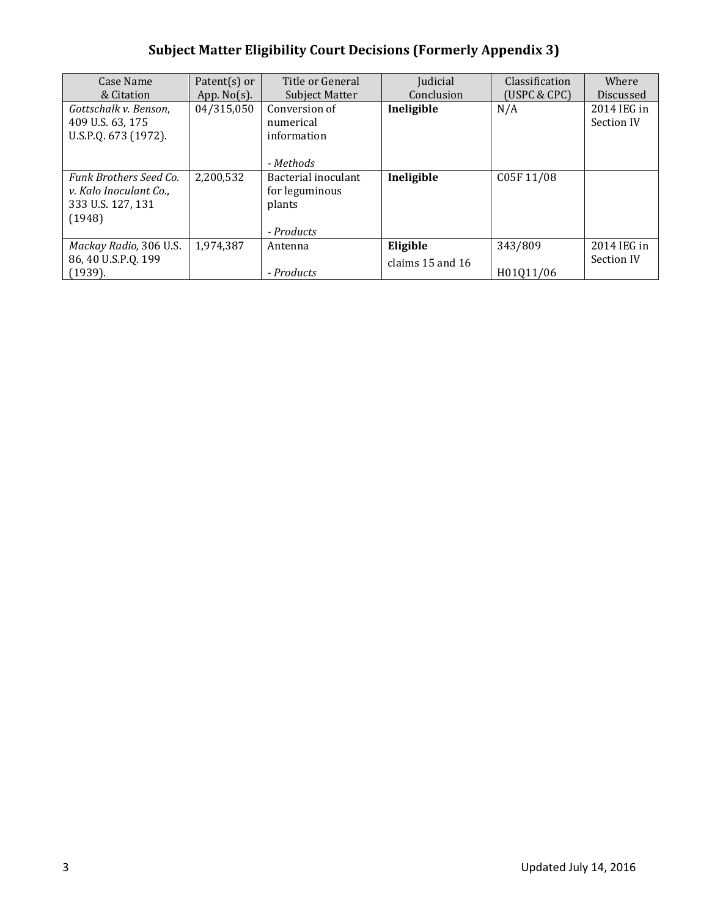| Case Name<br>& Citation                                                                | Patent $(s)$ or<br>App. $No(s)$ . | Title or General<br>Subject Matter                            | Judicial<br>Conclusion       | Classification<br>(USPC & CPC) | Where<br>Discussed        |
|----------------------------------------------------------------------------------------|-----------------------------------|---------------------------------------------------------------|------------------------------|--------------------------------|---------------------------|
| Gottschalk v. Benson,<br>409 U.S. 63, 175<br>U.S.P.Q. 673 (1972).                      | 04/315,050                        | Conversion of<br>numerical<br>information<br>- Methods        | Ineligible                   | N/A                            | 2014 IEG in<br>Section IV |
| <b>Funk Brothers Seed Co.</b><br>v. Kalo Inoculant Co.,<br>333 U.S. 127, 131<br>(1948) | 2,200,532                         | Bacterial inoculant<br>for leguminous<br>plants<br>- Products | Ineligible                   | C05F11/08                      |                           |
| Mackay Radio, 306 U.S.<br>86, 40 U.S.P.Q. 199<br>(1939).                               | 1,974,387                         | Antenna<br>- Products                                         | Eligible<br>claims 15 and 16 | 343/809<br>H01011/06           | 2014 IEG in<br>Section IV |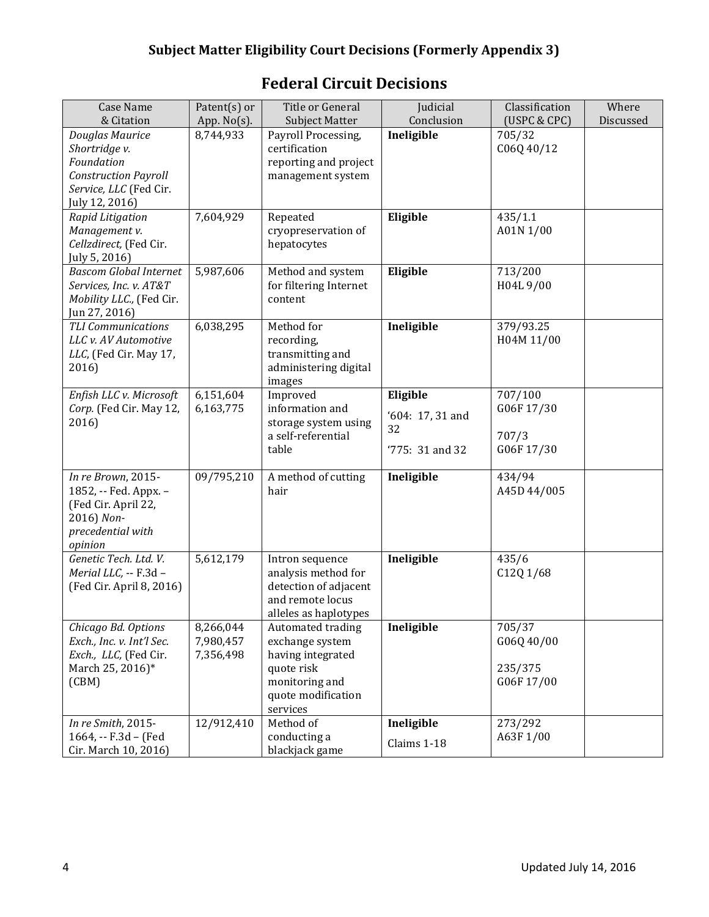| <b>Case Name</b><br>& Citation                                                                                            | Patent(s) or<br>App. No(s).         | Title or General<br><b>Subject Matter</b>                                                                                   | Judicial<br>Conclusion                                  | Classification<br>(USPC & CPC)                | Where<br>Discussed |
|---------------------------------------------------------------------------------------------------------------------------|-------------------------------------|-----------------------------------------------------------------------------------------------------------------------------|---------------------------------------------------------|-----------------------------------------------|--------------------|
| Douglas Maurice<br>Shortridge v.<br>Foundation<br><b>Construction Payroll</b><br>Service, LLC (Fed Cir.<br>July 12, 2016) | 8,744,933                           | Payroll Processing,<br>certification<br>reporting and project<br>management system                                          | Ineligible                                              | 705/32<br>C06Q 40/12                          |                    |
| Rapid Litigation<br>Management v.<br>Cellzdirect, (Fed Cir.<br>July 5, 2016)                                              | 7,604,929                           | Repeated<br>cryopreservation of<br>hepatocytes                                                                              | Eligible                                                | 435/1.1<br>A01N 1/00                          |                    |
| <b>Bascom Global Internet</b><br>Services, Inc. v. AT&T<br>Mobility LLC., (Fed Cir.<br>Jun 27, 2016)                      | 5,987,606                           | Method and system<br>for filtering Internet<br>content                                                                      | Eligible                                                | 713/200<br>H04L9/00                           |                    |
| <b>TLI Communications</b><br>LLC v. AV Automotive<br>LLC, (Fed Cir. May 17,<br>2016)                                      | 6,038,295                           | Method for<br>recording,<br>transmitting and<br>administering digital<br>images                                             | Ineligible                                              | 379/93.25<br>H04M 11/00                       |                    |
| Enfish LLC v. Microsoft<br>Corp. (Fed Cir. May 12,<br>2016)                                                               | 6,151,604<br>6,163,775              | Improved<br>information and<br>storage system using<br>a self-referential<br>table                                          | Eligible<br>'604: 17, 31 and<br>32<br>$'775: 31$ and 32 | 707/100<br>G06F17/30<br>707/3<br>G06F17/30    |                    |
| In re Brown, 2015-<br>1852, -- Fed. Appx. -<br>(Fed Cir. April 22,<br>2016) Non-<br>precedential with<br>opinion          | 09/795,210                          | A method of cutting<br>hair                                                                                                 | Ineligible                                              | 434/94<br>A45D 44/005                         |                    |
| Genetic Tech. Ltd. V.<br>Merial LLC, -- F.3d -<br>(Fed Cir. April 8, 2016)                                                | 5,612,179                           | Intron sequence<br>analysis method for<br>detection of adjacent<br>and remote locus<br>alleles as haplotypes                | Ineligible                                              | 435/6<br>C12Q1/68                             |                    |
| Chicago Bd. Options<br>Exch., Inc. v. Int'l Sec.<br>Exch., LLC, (Fed Cir.<br>March 25, 2016)*<br>(CBM)                    | 8,266,044<br>7,980,457<br>7,356,498 | Automated trading<br>exchange system<br>having integrated<br>quote risk<br>monitoring and<br>quote modification<br>services | Ineligible                                              | 705/37<br>G06Q 40/00<br>235/375<br>G06F 17/00 |                    |
| In re Smith, 2015-<br>1664, -- F.3d - (Fed<br>Cir. March 10, 2016)                                                        | 12/912,410                          | Method of<br>conducting a<br>blackjack game                                                                                 | Ineligible<br>Claims 1-18                               | 273/292<br>A63F1/00                           |                    |

# **Federal Circuit Decisions**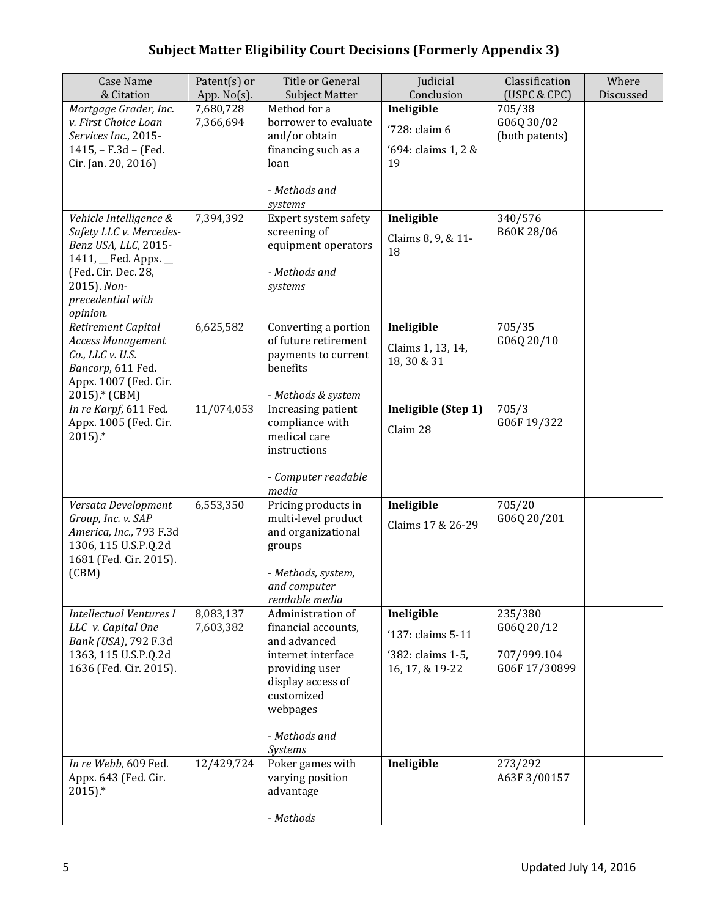| <b>Case Name</b><br>& Citation                                                                                                                                         | Patent(s) or<br>App. $No(s)$ . | Title or General<br><b>Subject Matter</b>                                                                                                                                   | Judicial<br>Conclusion                                                  | Classification<br>(USPC & CPC)                       | Where<br>Discussed |
|------------------------------------------------------------------------------------------------------------------------------------------------------------------------|--------------------------------|-----------------------------------------------------------------------------------------------------------------------------------------------------------------------------|-------------------------------------------------------------------------|------------------------------------------------------|--------------------|
| Mortgage Grader, Inc.<br>v. First Choice Loan<br>Services Inc., 2015-<br>1415, - F.3d - (Fed.<br>Cir. Jan. 20, 2016)                                                   | 7,680,728<br>7,366,694         | Method for a<br>borrower to evaluate<br>and/or obtain<br>financing such as a<br>loan<br>- Methods and<br>systems                                                            | Ineligible<br>'728: claim 6<br>'694: claims 1, 2 &<br>19                | 705/38<br>G06Q 30/02<br>(both patents)               |                    |
| Vehicle Intelligence &<br>Safety LLC v. Mercedes-<br>Benz USA, LLC, 2015-<br>1411, Fed. Appx. _<br>(Fed. Cir. Dec. 28,<br>2015). Non-<br>precedential with<br>opinion. | 7,394,392                      | Expert system safety<br>screening of<br>equipment operators<br>- Methods and<br>systems                                                                                     | Ineligible<br>Claims 8, 9, & 11-<br>18                                  | 340/576<br>B60K 28/06                                |                    |
| Retirement Capital<br>Access Management<br>Co., LLC v. U.S.<br>Bancorp, 611 Fed.<br>Appx. 1007 (Fed. Cir.<br>2015).* (CBM)                                             | 6,625,582                      | Converting a portion<br>of future retirement<br>payments to current<br>benefits<br>- Methods & system                                                                       | Ineligible<br>Claims 1, 13, 14,<br>18, 30 & 31                          | 705/35<br>G06Q 20/10                                 |                    |
| In re Karpf, 611 Fed.<br>Appx. 1005 (Fed. Cir.<br>$2015$ ).*                                                                                                           | 11/074,053                     | Increasing patient<br>compliance with<br>medical care<br>instructions<br>- Computer readable<br>media                                                                       | Ineligible (Step 1)<br>Claim 28                                         | 705/3<br>G06F19/322                                  |                    |
| Versata Development<br>Group, Inc. v. SAP<br>America, Inc., 793 F.3d<br>1306, 115 U.S.P.Q.2d<br>1681 (Fed. Cir. 2015).<br>(CBM)                                        | 6,553,350                      | Pricing products in<br>multi-level product<br>and organizational<br>groups<br>- Methods, system,<br>and computer<br>readable media                                          | Ineligible<br>Claims 17 & 26-29                                         | 705/20<br>G06Q 20/201                                |                    |
| <b>Intellectual Ventures I</b><br>LLC v. Capital One<br>Bank (USA), 792 F.3d<br>1363, 115 U.S.P.Q.2d<br>1636 (Fed. Cir. 2015).                                         | 8,083,137<br>7,603,382         | Administration of<br>financial accounts,<br>and advanced<br>internet interface<br>providing user<br>display access of<br>customized<br>webpages<br>- Methods and<br>Systems | Ineligible<br>'137: claims 5-11<br>'382: claims 1-5,<br>16, 17, & 19-22 | 235/380<br>G06Q 20/12<br>707/999.104<br>G06F17/30899 |                    |
| In re Webb, 609 Fed.<br>Appx. 643 (Fed. Cir.<br>$2015$ ).*                                                                                                             | 12/429,724                     | Poker games with<br>varying position<br>advantage<br>- Methods                                                                                                              | Ineligible                                                              | 273/292<br>A63F 3/00157                              |                    |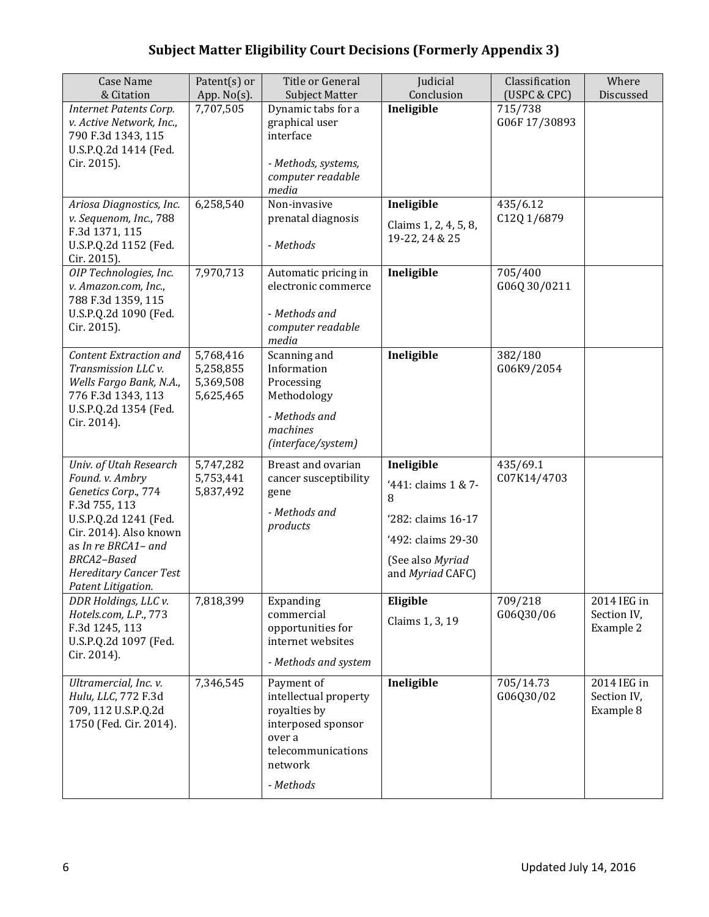| <b>Case Name</b><br>& Citation                                                                                                                                                                                                    | Patent(s) or<br>App. $No(s)$ .                   | Title or General<br><b>Subject Matter</b>                                                                                         | Judicial<br>Conclusion                                                                                                     | Classification<br>(USPC & CPC) | Where<br>Discussed                      |
|-----------------------------------------------------------------------------------------------------------------------------------------------------------------------------------------------------------------------------------|--------------------------------------------------|-----------------------------------------------------------------------------------------------------------------------------------|----------------------------------------------------------------------------------------------------------------------------|--------------------------------|-----------------------------------------|
| Internet Patents Corp.<br>v. Active Network, Inc.,<br>790 F.3d 1343, 115<br>U.S.P.Q.2d 1414 (Fed.<br>Cir. 2015).                                                                                                                  | 7,707,505                                        | Dynamic tabs for a<br>graphical user<br>interface<br>- Methods, systems,<br>computer readable<br>media                            | Ineligible                                                                                                                 | 715/738<br>G06F17/30893        |                                         |
| Ariosa Diagnostics, Inc.<br>v. Sequenom, Inc., 788<br>F.3d 1371, 115<br>U.S.P.Q.2d 1152 (Fed.<br>Cir. 2015).                                                                                                                      | 6,258,540                                        | Non-invasive<br>prenatal diagnosis<br>- Methods                                                                                   | Ineligible<br>Claims 1, 2, 4, 5, 8,<br>19-22, 24 & 25                                                                      | 435/6.12<br>C12Q 1/6879        |                                         |
| OIP Technologies, Inc.<br>v. Amazon.com, Inc.,<br>788 F.3d 1359, 115<br>U.S.P.Q.2d 1090 (Fed.<br>Cir. 2015).                                                                                                                      | 7,970,713                                        | Automatic pricing in<br>electronic commerce<br>- Methods and<br>computer readable<br>media                                        | Ineligible                                                                                                                 | 705/400<br>G06Q 30/0211        |                                         |
| <b>Content Extraction and</b><br>Transmission LLC v.<br>Wells Fargo Bank, N.A.,<br>776 F.3d 1343, 113<br>U.S.P.Q.2d 1354 (Fed.<br>Cir. 2014).                                                                                     | 5,768,416<br>5,258,855<br>5,369,508<br>5,625,465 | Scanning and<br>Information<br>Processing<br>Methodology<br>- Methods and<br>machines<br>(interface/system)                       | Ineligible                                                                                                                 | 382/180<br>G06K9/2054          |                                         |
| Univ. of Utah Research<br>Found. v. Ambry<br>Genetics Corp., 774<br>F.3d 755, 113<br>U.S.P.Q.2d 1241 (Fed.<br>Cir. 2014). Also known<br>as In re BRCA1- and<br>BRCA2-Based<br><b>Hereditary Cancer Test</b><br>Patent Litigation. | 5,747,282<br>5,753,441<br>5,837,492              | Breast and ovarian<br>cancer susceptibility<br>gene<br>- Methods and<br>products                                                  | Ineligible<br>'441: claims 1 & 7-<br>8<br>'282: claims 16-17<br>'492: claims 29-30<br>(See also Myriad<br>and Myriad CAFC) | 435/69.1<br>C07K14/4703        |                                         |
| DDR Holdings, LLC v.<br>Hotels.com, L.P., 773<br>F.3d 1245, 113<br>U.S.P.Q.2d 1097 (Fed.<br>Cir. 2014).                                                                                                                           | 7,818,399                                        | Expanding<br>commercial<br>opportunities for<br>internet websites<br>- Methods and system                                         | Eligible<br>Claims 1, 3, 19                                                                                                | 709/218<br>G06Q30/06           | 2014 IEG in<br>Section IV,<br>Example 2 |
| Ultramercial, Inc. v.<br>Hulu, LLC, 772 F.3d<br>709, 112 U.S.P.Q.2d<br>1750 (Fed. Cir. 2014).                                                                                                                                     | 7,346,545                                        | Payment of<br>intellectual property<br>royalties by<br>interposed sponsor<br>over a<br>telecommunications<br>network<br>- Methods | Ineligible                                                                                                                 | 705/14.73<br>G06Q30/02         | 2014 IEG in<br>Section IV,<br>Example 8 |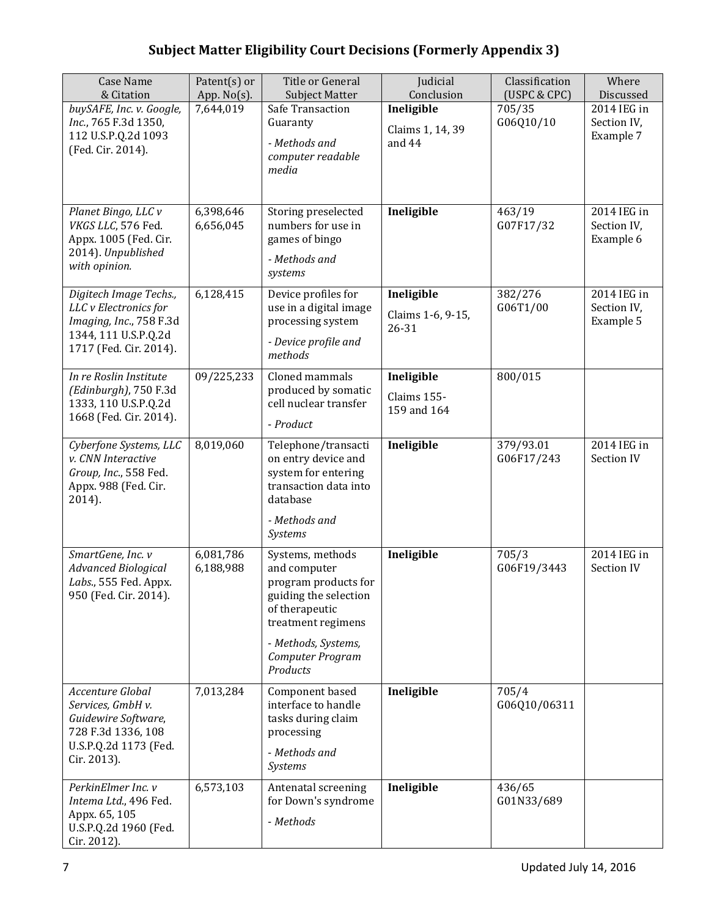| <b>Case Name</b><br>& Citation                                                                                               | Patent(s) or<br>App. $No(s)$ . | <b>Title or General</b><br><b>Subject Matter</b>                                                                                                                                 | Judicial<br>Conclusion                   | Classification<br>(USPC & CPC) | Where<br>Discussed                      |
|------------------------------------------------------------------------------------------------------------------------------|--------------------------------|----------------------------------------------------------------------------------------------------------------------------------------------------------------------------------|------------------------------------------|--------------------------------|-----------------------------------------|
| buySAFE, Inc. v. Google,<br>Inc., 765 F.3d 1350,<br>112 U.S.P.Q.2d 1093<br>(Fed. Cir. 2014).                                 | 7,644,019                      | Safe Transaction<br>Guaranty<br>- Methods and<br>computer readable<br>media                                                                                                      | Ineligible<br>Claims 1, 14, 39<br>and 44 | 705/35<br>G06Q10/10            | 2014 IEG in<br>Section IV,<br>Example 7 |
| Planet Bingo, LLC v<br>VKGS LLC, 576 Fed.<br>Appx. 1005 (Fed. Cir.<br>2014). Unpublished<br>with opinion.                    | 6,398,646<br>6,656,045         | Storing preselected<br>numbers for use in<br>games of bingo<br>- Methods and<br>systems                                                                                          | Ineligible                               | 463/19<br>G07F17/32            | 2014 IEG in<br>Section IV,<br>Example 6 |
| Digitech Image Techs.,<br>LLC v Electronics for<br>Imaging, Inc., 758 F.3d<br>1344, 111 U.S.P.Q.2d<br>1717 (Fed. Cir. 2014). | 6,128,415                      | Device profiles for<br>use in a digital image<br>processing system<br>- Device profile and<br>methods                                                                            | Ineligible<br>Claims 1-6, 9-15,<br>26-31 | 382/276<br>G06T1/00            | 2014 IEG in<br>Section IV,<br>Example 5 |
| In re Roslin Institute<br>(Edinburgh), 750 F.3d<br>1333, 110 U.S.P.Q.2d<br>1668 (Fed. Cir. 2014).                            | 09/225,233                     | Cloned mammals<br>produced by somatic<br>cell nuclear transfer<br>- Product                                                                                                      | Ineligible<br>Claims 155-<br>159 and 164 | 800/015                        |                                         |
| Cyberfone Systems, LLC<br>v. CNN Interactive<br>Group, Inc., 558 Fed.<br>Appx. 988 (Fed. Cir.<br>2014).                      | 8,019,060                      | Telephone/transacti<br>on entry device and<br>system for entering<br>transaction data into<br>database<br>- Methods and<br>Systems                                               | Ineligible                               | 379/93.01<br>G06F17/243        | 2014 IEG in<br>Section IV               |
| SmartGene, Inc. v<br><b>Advanced Biological</b><br>Labs., 555 Fed. Appx.<br>950 (Fed. Cir. 2014).                            | 6,081,786<br>6,188,988         | Systems, methods<br>and computer<br>program products for<br>guiding the selection<br>of therapeutic<br>treatment regimens<br>- Methods, Systems,<br>Computer Program<br>Products | Ineligible                               | 705/3<br>G06F19/3443           | 2014 IEG in<br>Section IV               |
| Accenture Global<br>Services, GmbH v.<br>Guidewire Software,<br>728 F.3d 1336, 108<br>U.S.P.Q.2d 1173 (Fed.<br>Cir. 2013).   | 7,013,284                      | Component based<br>interface to handle<br>tasks during claim<br>processing<br>- Methods and<br>Systems                                                                           | Ineligible                               | 705/4<br>G06Q10/06311          |                                         |
| PerkinElmer Inc. v<br>Intema Ltd., 496 Fed.<br>Appx. 65, 105<br>U.S.P.Q.2d 1960 (Fed.<br>Cir. 2012).                         | 6,573,103                      | Antenatal screening<br>for Down's syndrome<br>- Methods                                                                                                                          | Ineligible                               | 436/65<br>G01N33/689           |                                         |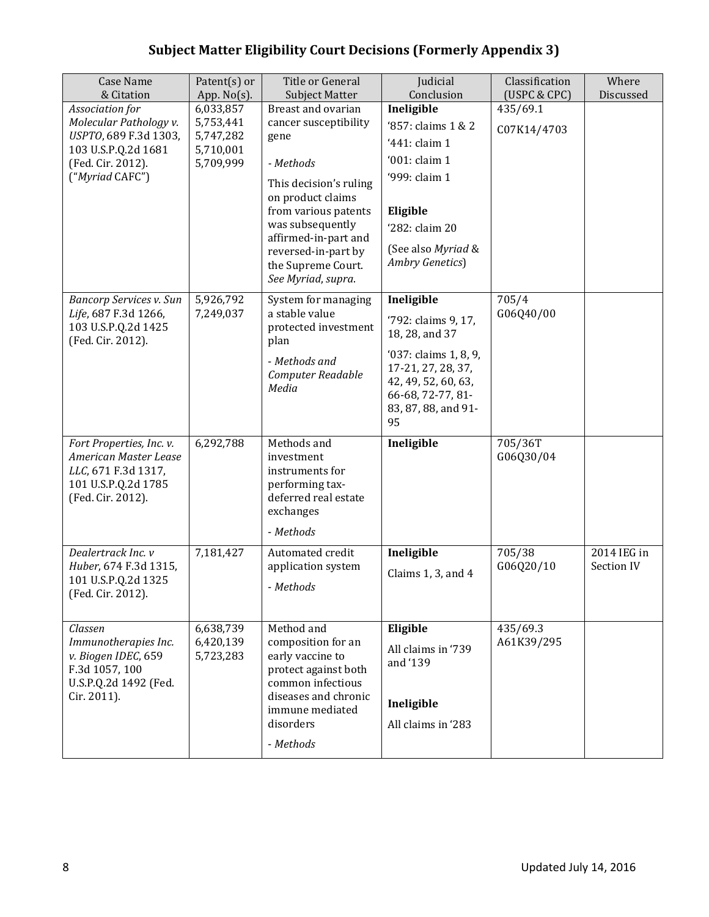| <b>Case Name</b><br>& Citation               | Patent(s) or<br>App. $No(s)$ . | Title or General<br><b>Subject Matter</b>   | Judicial<br>Conclusion                    | Classification<br>(USPC & CPC) | Where<br>Discussed |
|----------------------------------------------|--------------------------------|---------------------------------------------|-------------------------------------------|--------------------------------|--------------------|
| Association for                              | 6,033,857                      | Breast and ovarian                          | Ineligible                                | 435/69.1                       |                    |
| Molecular Pathology v.                       | 5,753,441                      | cancer susceptibility                       | '857: claims 1 & 2                        | C07K14/4703                    |                    |
| USPTO, 689 F.3d 1303,                        | 5,747,282                      | gene                                        | '441: claim 1                             |                                |                    |
| 103 U.S.P.Q.2d 1681<br>(Fed. Cir. 2012).     | 5,710,001<br>5,709,999         | - Methods                                   | '001: claim 1                             |                                |                    |
| ("Myriad CAFC")                              |                                |                                             | '999: claim 1                             |                                |                    |
|                                              |                                | This decision's ruling<br>on product claims |                                           |                                |                    |
|                                              |                                | from various patents                        | Eligible                                  |                                |                    |
|                                              |                                | was subsequently                            | '282: claim 20                            |                                |                    |
|                                              |                                | affirmed-in-part and<br>reversed-in-part by | (See also Myriad &                        |                                |                    |
|                                              |                                | the Supreme Court.                          | Ambry Genetics)                           |                                |                    |
|                                              |                                | See Myriad, supra.                          |                                           |                                |                    |
| Bancorp Services v. Sun                      | 5,926,792                      | System for managing                         | Ineligible                                | 705/4                          |                    |
| Life, 687 F.3d 1266,<br>103 U.S.P.Q.2d 1425  | 7,249,037                      | a stable value<br>protected investment      | '792: claims 9, 17,                       | G06Q40/00                      |                    |
| (Fed. Cir. 2012).                            |                                | plan                                        | 18, 28, and 37                            |                                |                    |
|                                              |                                | - Methods and                               | '037: claims 1, 8, 9,                     |                                |                    |
|                                              |                                | Computer Readable                           | 17-21, 27, 28, 37,<br>42, 49, 52, 60, 63, |                                |                    |
|                                              |                                | Media                                       | 66-68, 72-77, 81-                         |                                |                    |
|                                              |                                |                                             | 83, 87, 88, and 91-                       |                                |                    |
|                                              |                                |                                             | 95                                        |                                |                    |
| Fort Properties, Inc. v.                     | 6,292,788                      | Methods and                                 | Ineligible                                | 705/36T                        |                    |
| American Master Lease<br>LLC, 671 F.3d 1317, |                                | investment<br>instruments for               |                                           | G06Q30/04                      |                    |
| 101 U.S.P.Q.2d 1785                          |                                | performing tax-                             |                                           |                                |                    |
| (Fed. Cir. 2012).                            |                                | deferred real estate                        |                                           |                                |                    |
|                                              |                                | exchanges                                   |                                           |                                |                    |
|                                              |                                | - Methods                                   |                                           |                                |                    |
| Dealertrack Inc. v                           | 7,181,427                      | Automated credit                            | Ineligible                                | 705/38                         | 2014 IEG in        |
| Huber, 674 F.3d 1315,                        |                                | application system                          | Claims 1, 3, and 4                        | G06Q20/10                      | Section IV         |
| 101 U.S.P.Q.2d 1325<br>(Fed. Cir. 2012).     |                                | - Methods                                   |                                           |                                |                    |
|                                              |                                |                                             |                                           |                                |                    |
| Classen                                      | 6,638,739                      | Method and                                  | Eligible                                  | $435/69.\overline{3}$          |                    |
| Immunotherapies Inc.                         | 6,420,139                      | composition for an                          | All claims in '739                        | A61K39/295                     |                    |
| v. Biogen IDEC, 659<br>F.3d 1057, 100        | 5,723,283                      | early vaccine to<br>protect against both    | and '139                                  |                                |                    |
| U.S.P.Q.2d 1492 (Fed.                        |                                | common infectious                           |                                           |                                |                    |
| Cir. 2011).                                  |                                | diseases and chronic                        | Ineligible                                |                                |                    |
|                                              |                                | immune mediated                             |                                           |                                |                    |
|                                              |                                | disorders                                   | All claims in '283                        |                                |                    |
|                                              |                                | - Methods                                   |                                           |                                |                    |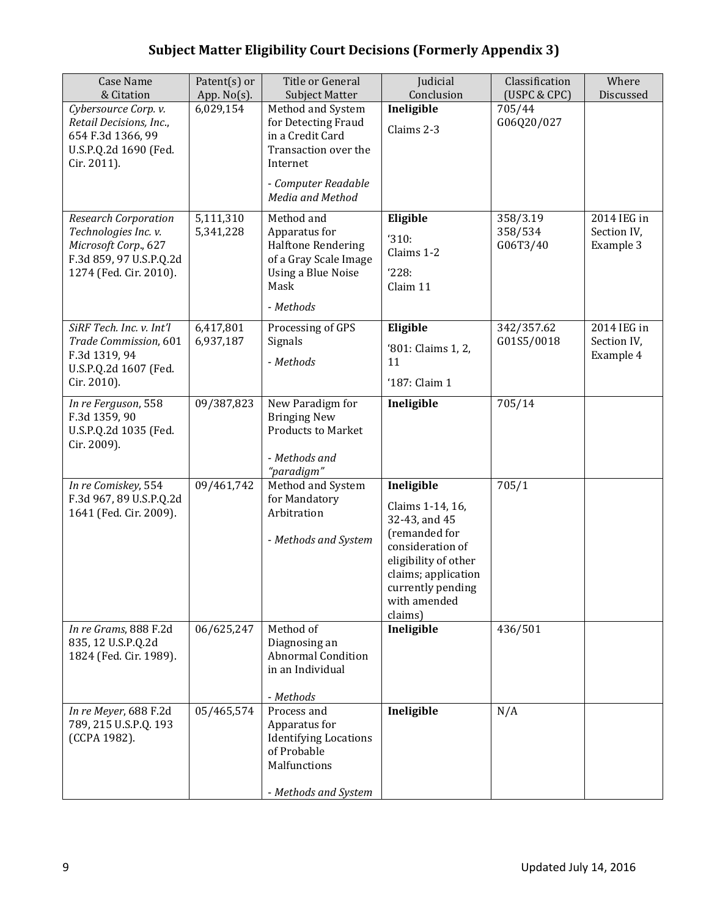| <b>Case Name</b><br>& Citation                                                                                                   | Patent(s) or<br>App. No(s). | Title or General<br><b>Subject Matter</b>                                                                                                  | Judicial<br>Conclusion                                                                                                                                                              | Classification<br>(USPC & CPC)  | Where<br>Discussed                      |
|----------------------------------------------------------------------------------------------------------------------------------|-----------------------------|--------------------------------------------------------------------------------------------------------------------------------------------|-------------------------------------------------------------------------------------------------------------------------------------------------------------------------------------|---------------------------------|-----------------------------------------|
| Cybersource Corp. v.<br>Retail Decisions, Inc.,<br>654 F.3d 1366, 99<br>U.S.P.Q.2d 1690 (Fed.<br>Cir. 2011).                     | 6,029,154                   | Method and System<br>for Detecting Fraud<br>in a Credit Card<br>Transaction over the<br>Internet<br>- Computer Readable                    | Ineligible<br>Claims 2-3                                                                                                                                                            | 705/44<br>G06Q20/027            |                                         |
| <b>Research Corporation</b><br>Technologies Inc. v.<br>Microsoft Corp., 627<br>F.3d 859, 97 U.S.P.Q.2d<br>1274 (Fed. Cir. 2010). | 5,111,310<br>5,341,228      | Media and Method<br>Method and<br>Apparatus for<br><b>Halftone Rendering</b><br>of a Gray Scale Image<br><b>Using a Blue Noise</b><br>Mask | Eligible<br>'310:<br>Claims 1-2<br>'228:<br>Claim 11                                                                                                                                | 358/3.19<br>358/534<br>G06T3/40 | 2014 IEG in<br>Section IV,<br>Example 3 |
|                                                                                                                                  |                             | - Methods                                                                                                                                  |                                                                                                                                                                                     |                                 |                                         |
| SiRF Tech. Inc. v. Int'l<br>Trade Commission, 601<br>F.3d 1319, 94<br>U.S.P.Q.2d 1607 (Fed.<br>Cir. 2010).                       | 6,417,801<br>6,937,187      | Processing of GPS<br>Signals<br>- Methods                                                                                                  | Eligible<br>'801: Claims 1, 2,<br>11<br>'187: Claim 1                                                                                                                               | 342/357.62<br>G01S5/0018        | 2014 IEG in<br>Section IV,<br>Example 4 |
| In re Ferguson, 558<br>F.3d 1359, 90<br>U.S.P.Q.2d 1035 (Fed.<br>Cir. 2009).                                                     | 09/387,823                  | New Paradigm for<br><b>Bringing New</b><br><b>Products to Market</b><br>- Methods and<br>"paradigm"                                        | Ineligible                                                                                                                                                                          | 705/14                          |                                         |
| In re Comiskey, 554<br>F.3d 967, 89 U.S.P.Q.2d<br>1641 (Fed. Cir. 2009).                                                         | 09/461,742                  | Method and System<br>for Mandatory<br>Arbitration<br>- Methods and System                                                                  | Ineligible<br>Claims 1-14, 16,<br>32-43, and 45<br>(remanded for<br>consideration of<br>eligibility of other<br>claims; application<br>currently pending<br>with amended<br>claims) | 705/1                           |                                         |
| In re Grams, 888 F.2d<br>835, 12 U.S.P.Q.2d<br>1824 (Fed. Cir. 1989).                                                            | 06/625,247                  | Method of<br>Diagnosing an<br><b>Abnormal Condition</b><br>in an Individual<br>- Methods                                                   | Ineligible                                                                                                                                                                          | 436/501                         |                                         |
| In re Meyer, 688 F.2d<br>789, 215 U.S.P.Q. 193<br>(CCPA 1982).                                                                   | 05/465,574                  | Process and<br>Apparatus for<br><b>Identifying Locations</b><br>of Probable<br>Malfunctions<br>- Methods and System                        | Ineligible                                                                                                                                                                          | N/A                             |                                         |